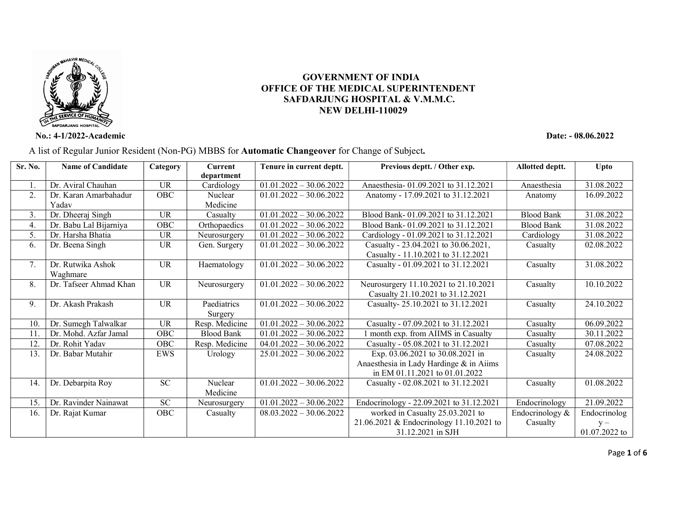

 GOVERNMENT OF INDIA OFFICE OF THE MEDICAL SUPERINTENDENT SAFDARJUNG HOSPITAL & V.M.M.C. NEW DELHI-110029

No.: 4-1/2022-Academic Date: - 08.06.2022

| Sr. No. | <b>Name of Candidate</b> | Category        | Current           | Tenure in current deptt.  | Previous deptt. / Other exp.             | Allotted deptt.   | <b>Upto</b>   |
|---------|--------------------------|-----------------|-------------------|---------------------------|------------------------------------------|-------------------|---------------|
|         |                          |                 | department        |                           |                                          |                   |               |
| 1.      | Dr. Aviral Chauhan       | UR.             | Cardiology        | $01.01.2022 - 30.06.2022$ | Anaesthesia-01.09.2021 to 31.12.2021     | Anaesthesia       | 31.08.2022    |
| 2.      | Dr. Karan Amarbahadur    | OBC             | Nuclear           | $01.01.2022 - 30.06.2022$ | Anatomy - 17.09.2021 to 31.12.2021       | Anatomy           | 16.09.2022    |
|         | Yadav                    |                 | Medicine          |                           |                                          |                   |               |
| 3.      | Dr. Dheeraj Singh        | UR.             | Casualty          | $01.01.2022 - 30.06.2022$ | Blood Bank-01.09.2021 to 31.12.2021      | <b>Blood Bank</b> | 31.08.2022    |
| 4.      | Dr. Babu Lal Bijarniya   | OBC             | Orthopaedics      | $01.01.2022 - 30.06.2022$ | Blood Bank-01.09.2021 to 31.12.2021      | <b>Blood Bank</b> | 31.08.2022    |
| 5.      | Dr. Harsha Bhatia        | <b>UR</b>       | Neurosurgery      | $01.01.2022 - 30.06.2022$ | Cardiology - 01.09.2021 to 31.12.2021    | Cardiology        | 31.08.2022    |
| 6.      | Dr. Beena Singh          | <b>UR</b>       | Gen. Surgery      | $01.01.2022 - 30.06.2022$ | Casualty - 23.04.2021 to 30.06.2021,     | Casualty          | 02.08.2022    |
|         |                          |                 |                   |                           | Casualty - 11.10.2021 to 31.12.2021      |                   |               |
| 7.      | Dr. Rutwika Ashok        | <b>UR</b>       | Haematology       | $01.01.2022 - 30.06.2022$ | Casualty - 01.09.2021 to 31.12.2021      | Casualty          | 31.08.2022    |
|         | Waghmare                 |                 |                   |                           |                                          |                   |               |
| 8.      | Dr. Tafseer Ahmad Khan   | $\overline{UR}$ | Neurosurgery      | $01.01.2022 - 30.06.2022$ | Neurosurgery 11.10.2021 to 21.10.2021    | Casualty          | 10.10.2022    |
|         |                          |                 |                   |                           | Casualty 21.10.2021 to 31.12.2021        |                   |               |
| 9.      | Dr. Akash Prakash        | <b>UR</b>       | Paediatrics       | $01.01.2022 - 30.06.2022$ | Casualty-25.10.2021 to 31.12.2021        | Casualty          | 24.10.2022    |
|         |                          |                 | Surgery           |                           |                                          |                   |               |
| 10.     | Dr. Sumegh Talwalkar     | UR.             | Resp. Medicine    | $01.01.2022 - 30.06.2022$ | Casualty - 07.09.2021 to 31.12.2021      | Casualty          | 06.09.2022    |
| 11.     | Dr. Mohd. Azfar Jamal    | OBC             | <b>Blood Bank</b> | $01.01.2022 - 30.06.2022$ | month exp. from AIIMS in Casualty        | Casualty          | 30.11.2022    |
| 12.     | Dr. Rohit Yadav          | <b>OBC</b>      | Resp. Medicine    | $04.01.2022 - 30.06.2022$ | Casualty - 05.08.2021 to 31.12.2021      | Casualty          | 07.08.2022    |
| 13.     | Dr. Babar Mutahir        | <b>EWS</b>      | Urology           | $25.01.2022 - 30.06.2022$ | Exp. 03.06.2021 to 30.08.2021 in         | Casualty          | 24.08.2022    |
|         |                          |                 |                   |                           | Anaesthesia in Lady Hardinge & in Aiims  |                   |               |
|         |                          |                 |                   |                           | in EM 01.11.2021 to 01.01.2022           |                   |               |
| 14.     | Dr. Debarpita Roy        | <b>SC</b>       | Nuclear           | $01.01.2022 - 30.06.2022$ | Casualty - 02.08.2021 to 31.12.2021      | Casualty          | 01.08.2022    |
|         |                          |                 | Medicine          |                           |                                          |                   |               |
| 15.     | Dr. Ravinder Nainawat    | <b>SC</b>       | Neurosurgery      | $01.01.2022 - 30.06.2022$ | Endocrinology - 22.09.2021 to 31.12.2021 | Endocrinology     | 21.09.2022    |
| 16.     | Dr. Rajat Kumar          | OBC             | Casualty          | $08.03.2022 - 30.06.2022$ | worked in Casualty 25.03.2021 to         | Endocrinology &   | Endocrinolog  |
|         |                          |                 |                   |                           | 21.06.2021 & Endocrinology 11.10.2021 to | Casualty          | $y -$         |
|         |                          |                 |                   |                           | 31.12.2021 in SJH                        |                   | 01.07.2022 to |

A list of Regular Junior Resident (Non-PG) MBBS for Automatic Changeover for Change of Subject.

Page 1 of 6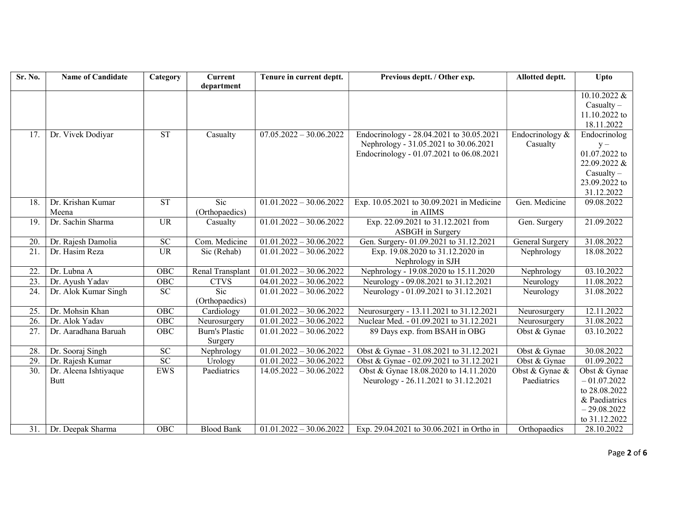| Sr. No.           | <b>Name of Candidate</b> | Category        | <b>Current</b><br>department     | Tenure in current deptt.             | Previous deptt. / Other exp.              | Allotted deptt.        | Upto            |
|-------------------|--------------------------|-----------------|----------------------------------|--------------------------------------|-------------------------------------------|------------------------|-----------------|
|                   |                          |                 |                                  |                                      |                                           |                        | $10.10.2022 \&$ |
|                   |                          |                 |                                  |                                      |                                           |                        | $Casuality -$   |
|                   |                          |                 |                                  |                                      |                                           |                        | 11.10.2022 to   |
|                   |                          |                 |                                  |                                      |                                           |                        | 18.11.2022      |
| 17.               | Dr. Vivek Dodiyar        | ST              | Casualty                         | $07.05.2022 - 30.06.2022$            | Endocrinology - 28.04.2021 to 30.05.2021  | Endocrinology &        | Endocrinolog    |
|                   |                          |                 |                                  |                                      | Nephrology - 31.05.2021 to 30.06.2021     | Casualty               | $y -$           |
|                   |                          |                 |                                  |                                      | Endocrinology - 01.07.2021 to 06.08.2021  |                        | 01.07.2022 to   |
|                   |                          |                 |                                  |                                      |                                           |                        | 22.09.2022 &    |
|                   |                          |                 |                                  |                                      |                                           |                        | $Casuality -$   |
|                   |                          |                 |                                  |                                      |                                           |                        | 23.09.2022 to   |
|                   |                          |                 |                                  |                                      |                                           |                        | 31.12.2022      |
| 18.               | Dr. Krishan Kumar        | <b>ST</b>       | $\overline{\text{Sic}}$          | $01.01.2022 - 30.06.2022$            | Exp. 10.05.2021 to 30.09.2021 in Medicine | Gen. Medicine          | 09.08.2022      |
|                   | Meena                    |                 | (Orthopaedics)                   |                                      | in AIIMS                                  |                        |                 |
| 19.               | Dr. Sachin Sharma        | <b>UR</b>       | Casualty                         | $01.01.\overline{2022 - 30.06.2022}$ | Exp. 22.09.2021 to 31.12.2021 from        | Gen. Surgery           | 21.09.2022      |
|                   |                          |                 |                                  |                                      | ASBGH in Surgery                          |                        |                 |
| 20.               | Dr. Rajesh Damolia       | ${\rm SC}$      | Com. Medicine                    | $01.01.2022 - 30.06.2022$            | Gen. Surgery-01.09.2021 to 31.12.2021     | <b>General Surgery</b> | 31.08.2022      |
| $\overline{21}$   | Dr. Hasim Reza           | <b>UR</b>       | Sic (Rehab)                      | $01.01.2022 - 30.06.2022$            | Exp. 19.08.2020 to 31.12.2020 in          | Nephrology             | 18.08.2022      |
|                   |                          |                 |                                  |                                      | Nephrology in SJH                         |                        |                 |
| 22.               | Dr. Lubna A              | OBC             | Renal Transplant                 | $01.01.2022 - 30.06.2022$            | Nephrology - 19.08.2020 to 15.11.2020     | Nephrology             | 03.10.2022      |
| 23.               | Dr. Ayush Yadav          | OBC             | <b>CTVS</b>                      | $04.01.2022 - 30.06.2022$            | Neurology - 09.08.2021 to 31.12.2021      | Neurology              | 11.08.2022      |
| $\overline{24}$ . | Dr. Alok Kumar Singh     | SC              | Sic<br>(Orthopaedics)            | $01.01.2022 - 30.06.2022$            | Neurology - 01.09.2021 to 31.12.2021      | Neurology              | 31.08.2022      |
| 25.               | Dr. Mohsin Khan          | OBC             | Cardiology                       | $01.01.2022 - 30.06.2022$            | Neurosurgery - 13.11.2021 to 31.12.2021   | Neurosurgery           | 12.11.2022      |
| 26.               | Dr. Alok Yadav           | OBC             | Neurosurgery                     | $01.01.2022 - 30.06.2022$            | Nuclear Med. - 01.09.2021 to 31.12.2021   | Neurosurgery           | 31.08.2022      |
| 27.               | Dr. Aaradhana Baruah     | OBC             | <b>Burn's Plastic</b><br>Surgery | $01.01.2022 - 30.06.2022$            | 89 Days exp. from BSAH in OBG             | Obst & Gynae           | 03.10.2022      |
| 28.               | Dr. Sooraj Singh         | $\overline{SC}$ | Nephrology                       | $01.01.2022 - 30.06.2022$            | Obst & Gynae - 31.08.2021 to 31.12.2021   | Obst & Gynae           | 30.08.2022      |
| 29.               | Dr. Rajesh Kumar         | SC              | Urology                          | $01.01.2022 - 30.06.2022$            | Obst & Gynae - 02.09.2021 to 31.12.2021   | Obst & Gynae           | 01.09.2022      |
| 30.               | Dr. Aleena Ishtiyaque    | <b>EWS</b>      | Paediatrics                      | $14.05.2022 - 30.06.2022$            | Obst & Gynae 18.08.2020 to 14.11.2020     | Obst & Gynae &         | Obst & Gynae    |
|                   | Butt                     |                 |                                  |                                      | Neurology - 26.11.2021 to 31.12.2021      | Paediatrics            | $-01.07.2022$   |
|                   |                          |                 |                                  |                                      |                                           |                        | to 28.08.2022   |
|                   |                          |                 |                                  |                                      |                                           |                        | & Paediatrics   |
|                   |                          |                 |                                  |                                      |                                           |                        | $-29.08.2022$   |
|                   |                          |                 |                                  |                                      |                                           |                        | to 31.12.2022   |
| 31.               | Dr. Deepak Sharma        | OBC             | <b>Blood Bank</b>                | $01.01.2022 - 30.06.2022$            | Exp. 29.04.2021 to 30.06.2021 in Ortho in | Orthopaedics           | 28.10.2022      |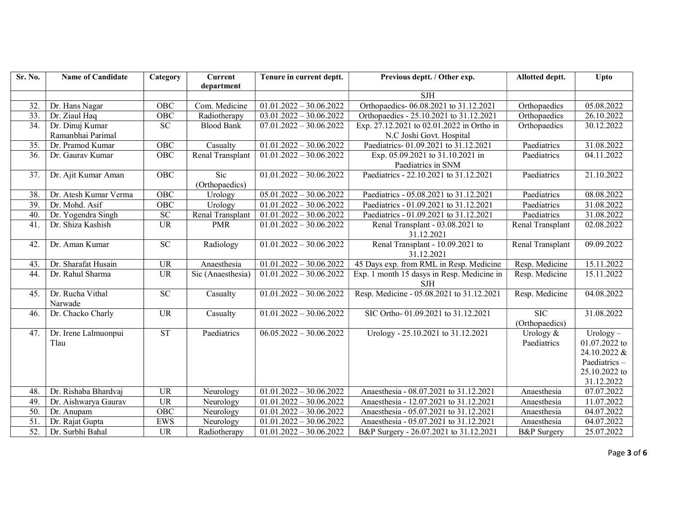| $\overline{S}$ r. No. | <b>Name of Candidate</b>             | Category               | <b>Current</b><br>department | Tenure in current deptt.  | Previous deptt. / Other exp.                                          | Allotted deptt.              | Upto                                                                                        |
|-----------------------|--------------------------------------|------------------------|------------------------------|---------------------------|-----------------------------------------------------------------------|------------------------------|---------------------------------------------------------------------------------------------|
|                       |                                      |                        |                              |                           | <b>SJH</b>                                                            |                              |                                                                                             |
| 32.                   | Dr. Hans Nagar                       | OBC                    | Com. Medicine                | $01.01.2022 - 30.06.2022$ | Orthopaedics-06.08.2021 to 31.12.2021                                 | Orthopaedics                 | 05.08.2022                                                                                  |
| 33.                   | Dr. Ziaul Haq                        | OBC                    | Radiotherapy                 | $03.01.2022 - 30.06.2022$ | Orthopaedics - 25.10.2021 to 31.12.2021                               | Orthopaedics                 | 26.10.2022                                                                                  |
| 34.                   | Dr. Dinuj Kumar<br>Ramanbhai Parimal | ${\rm SC}$             | <b>Blood Bank</b>            | $07.01.2022 - 30.06.2022$ | Exp. 27.12.2021 to 02.01.2022 in Ortho in<br>N.C Joshi Govt. Hospital | Orthopaedics                 | 30.12.2022                                                                                  |
| 35.                   | Dr. Pramod Kumar                     | OBC                    | Casualty                     | $01.01.2022 - 30.06.2022$ | Paediatrics-01.09.2021 to 31.12.2021                                  | Paediatrics                  | 31.08.2022                                                                                  |
| 36.                   | Dr. Gaurav Kumar                     | <b>OBC</b>             | Renal Transplant             | $01.01.2022 - 30.06.2022$ | Exp. 05.09.2021 to 31.10.2021 in<br>Paediatrics in SNM                | Paediatrics                  | 04.11.2022                                                                                  |
| 37.                   | Dr. Ajit Kumar Aman                  | OBC                    | Sic<br>(Orthopaedics)        | $01.01.2022 - 30.06.2022$ | Paediatrics - 22.10.2021 to 31.12.2021                                | Paediatrics                  | 21.10.2022                                                                                  |
| 38.                   | Dr. Atesh Kumar Verma                | $\overline{OBC}$       | Urology                      | $05.01.2022 - 30.06.2022$ | Paediatrics - 05.08.2021 to 31.12.2021                                | Paediatrics                  | 08.08.2022                                                                                  |
| 39.                   | Dr. Mohd. Asif                       | OBC                    | Urology                      | $01.01.2022 - 30.06.2022$ | Paediatrics - 01.09.2021 to 31.12.2021                                | Paediatrics                  | 31.08.2022                                                                                  |
| 40.                   | Dr. Yogendra Singh                   | ${\rm SC}$             | Renal Transplant             | $01.01.2022 - 30.06.2022$ | Paediatrics - 01.09.2021 to 31.12.2021                                | Paediatrics                  | 31.08.2022                                                                                  |
| 41.                   | Dr. Shiza Kashish                    | <b>UR</b>              | <b>PMR</b>                   | $01.01.2022 - 30.06.2022$ | Renal Transplant - 03.08.2021 to<br>31.12.2021                        | Renal Transplant             | 02.08.2022                                                                                  |
| 42.                   | Dr. Aman Kumar                       | $\overline{SC}$        | Radiology                    | $01.01.2022 - 30.06.2022$ | Renal Transplant - 10.09.2021 to<br>31.12.2021                        | <b>Renal Transplant</b>      | 09.09.2022                                                                                  |
| 43.                   | Dr. Sharafat Husain                  | <b>UR</b>              | Anaesthesia                  | $01.01.2022 - 30.06.2022$ | 45 Days exp. from RML in Resp. Medicine                               | Resp. Medicine               | 15.11.2022                                                                                  |
| 44.                   | Dr. Rahul Sharma                     | $\overline{UR}$        | Sic (Anaesthesia)            | $01.01.2022 - 30.06.2022$ | Exp. 1 month 15 dasys in Resp. Medicine in<br><b>SJH</b>              | Resp. Medicine               | 15.11.2022                                                                                  |
| 45.                   | Dr. Rucha Vithal<br>Narwade          | ${\rm SC}$             | Casualty                     | $01.01.2022 - 30.06.2022$ | Resp. Medicine - 05.08.2021 to 31.12.2021                             | Resp. Medicine               | 04.08.2022                                                                                  |
| 46.                   | Dr. Chacko Charly                    | <b>UR</b>              | Casualty                     | $01.01.2022 - 30.06.2022$ | SIC Ortho-01.09.2021 to 31.12.2021                                    | <b>SIC</b><br>(Orthopaedics) | 31.08.2022                                                                                  |
| 47.                   | Dr. Irene Lalmuonpui<br>Tlau         | $\overline{\text{ST}}$ | Paediatrics                  | $06.05.2022 - 30.06.2022$ | Urology - 25.10.2021 to 31.12.2021                                    | Urology &<br>Paediatrics     | $Urology -$<br>01.07.2022 to<br>24.10.2022 &<br>Paediatrics-<br>25.10.2022 to<br>31.12.2022 |
| 48.                   | Dr. Rishaba Bhardvaj                 | <b>UR</b>              | Neurology                    | $01.01.2022 - 30.06.2022$ | Anaesthesia - 08.07.2021 to 31.12.2021                                | Anaesthesia                  | 07.07.2022                                                                                  |
| 49.                   | Dr. Aishwarya Gaurav                 | <b>UR</b>              | Neurology                    | $01.01.2022 - 30.06.2022$ | Anaesthesia - 12.07.2021 to 31.12.2021                                | Anaesthesia                  | 11.07.2022                                                                                  |
| 50.                   | Dr. Anupam                           | OBC                    | Neurology                    | $01.01.2022 - 30.06.2022$ | Anaesthesia - 05.07.2021 to 31.12.2021                                | Anaesthesia                  | $\overline{04.07}$ .2022                                                                    |
| 51                    | Dr. Rajat Gupta                      | <b>EWS</b>             | Neurology                    | $01.01.2022 - 30.06.2022$ | Anaesthesia - 05.07.2021 to 31.12.2021                                | Anaesthesia                  | 04.07.2022                                                                                  |
| 52.                   | Dr. Surbhi Bahal                     | <b>UR</b>              | Radiotherapy                 | $01.01.2022 - 30.06.2022$ | B&P Surgery - 26.07.2021 to 31.12.2021                                | <b>B&amp;P</b> Surgery       | 25.07.2022                                                                                  |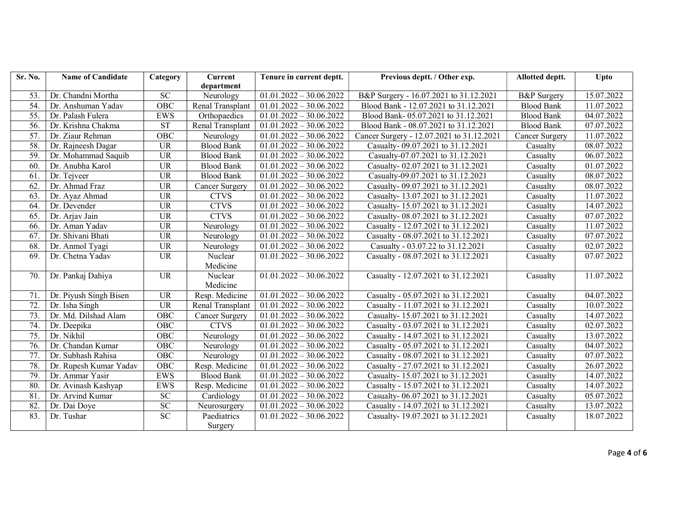| Sr. No.           | <b>Name of Candidate</b> | Category         | <b>Current</b>        | Tenure in current deptt.             | Previous deptt. / Other exp.              | Allotted deptt.        | Upto                     |
|-------------------|--------------------------|------------------|-----------------------|--------------------------------------|-------------------------------------------|------------------------|--------------------------|
|                   |                          |                  | department            |                                      |                                           |                        |                          |
| 53.               | Dr. Chandni Mortha       | <b>SC</b>        | Neurology             | $01.01.2022 - 30.06.2022$            | B&P Surgery - 16.07.2021 to 31.12.2021    | <b>B&amp;P</b> Surgery | 15.07.2022               |
| 54.               | Dr. Anshuman Yadav       | OBC              | Renal Transplant      | $01.01.2022 - 30.06.2022$            | Blood Bank - 12.07.2021 to 31.12.2021     | <b>Blood Bank</b>      | 11.07.2022               |
| 55.               | Dr. Palash Fulera        | <b>EWS</b>       | Orthopaedics          | $01.01.2022 - 30.06.2022$            | Blood Bank-05.07.2021 to 31.12.2021       | <b>Blood Bank</b>      | 04.07.2022               |
| 56.               | Dr. Krishna Chakma       | <b>ST</b>        | Renal Transplant      | $01.01.2022 - 30.06.2022$            | Blood Bank - 08.07.2021 to 31.12.2021     | <b>Blood Bank</b>      | 07.07.2022               |
| 57.               | Dr. Ziaur Rehman         | OBC              | Neurology             | $01.01.2022 - 30.06.2022$            | Cancer Surgery - 12.07.2021 to 31.12.2021 | <b>Cancer Surgery</b>  | 11.07.2022               |
| 58.               | Dr. Rajneesh Dagar       | <b>UR</b>        | <b>Blood Bank</b>     | $01.01.2022 - 30.06.2022$            | Casualty-09.07.2021 to 31.12.2021         | Casualty               | 08.07.2022               |
| 59.               | Dr. Mohammad Saquib      | <b>UR</b>        | <b>Blood Bank</b>     | $01.01.2022 - 30.06.2022$            | Casualty-07.07.2021 to 31.12.2021         | Casualty               | 06.07.2022               |
| 60.               | Dr. Anubha Karol         | <b>UR</b>        | <b>Blood Bank</b>     | $01.01.2022 - 30.06.2022$            | Casualty-02.07.2021 to 31.12.2021         | Casualty               | $\overline{01.07.2022}$  |
| 61.               | Dr. Tejveer              | <b>UR</b>        | <b>Blood Bank</b>     | $01.01.2022 - 30.06.2022$            | Casualty-09.07.2021 to 31.12.2021         | Casualty               | $\overline{08.07}$ .2022 |
| 62.               | Dr. Ahmad Fraz           | <b>UR</b>        | Cancer Surgery        | $01.01.2022 - 30.06.2022$            | Casualty-09.07.2021 to 31.12.2021         | Casualty               | 08.07.2022               |
| 63.               | Dr. Ayaz Ahmad           | <b>UR</b>        | <b>CTVS</b>           | $01.01.2022 - 30.06.2022$            | Casualty-13.07.2021 to 31.12.2021         | Casualty               | 11.07.2022               |
| 64.               | Dr. Devender             | <b>UR</b>        | <b>CTVS</b>           | $01.01.2022 - 30.06.2022$            | Casualty-15.07.2021 to 31.12.2021         | Casualty               | 14.07.2022               |
| 65                | Dr. Arjav Jain           | <b>UR</b>        | <b>CTVS</b>           | $01.01.2022 - 30.06.2022$            | Casualty-08.07.2021 to 31.12.2021         | Casualty               | 07.07.2022               |
| 66.               | Dr. Aman Yadav           | <b>UR</b>        | Neurology             | $01.01.2022 - 30.06.2022$            | Casualty - 12.07.2021 to 31.12.2021       | Casualty               | 11.07.2022               |
| 67.               | Dr. Shivani Bhati        | <b>UR</b>        | Neurology             | $01.01.2022 - 30.06.2022$            | Casualty - 08.07.2021 to 31.12.2021       | Casualty               | 07.07.2022               |
| 68.               | Dr. Anmol Tyagi          | <b>UR</b>        | Neurology             | $01.01.2022 - 30.06.2022$            | Casualty - 03.07.22 to 31.12.2021         | Casualty               | 02.07.2022               |
| 69.               | Dr. Chetna Yadav         | <b>UR</b>        | Nuclear               | $01.01.2022 - 30.06.2022$            | Casualty - 08.07.2021 to 31.12.2021       | Casualty               | 07.07.2022               |
|                   |                          |                  | Medicine              |                                      |                                           |                        |                          |
| 70.               | Dr. Pankaj Dahiya        | <b>UR</b>        | Nuclear               | $01.01.2022 - 30.06.2022$            | Casualty - 12.07.2021 to 31.12.2021       | Casualty               | 11.07.2022               |
|                   |                          |                  | Medicine              |                                      |                                           |                        |                          |
| 71.               | Dr. Piyush Singh Bisen   | <b>UR</b>        | Resp. Medicine        | $01.01.2022 - 30.06.2022$            | Casualty - 05.07.2021 to 31.12.2021       | Casualty               | 04.07.2022               |
| 72.               | Dr. Isha Singh           | <b>UR</b>        | Renal Transplant      | $01.01.2022 - 30.06.2022$            | Casualty - 11.07.2021 to 31.12.2021       | Casualty               | 10.07.2022               |
| $\overline{73}$ . | Dr. Md. Dilshad Alam     | OBC              | <b>Cancer Surgery</b> | $01.01.2022 - 30.06.2022$            | Casualty-15.07.2021 to 31.12.2021         | Casualty               | 14.07.2022               |
| 74.               | Dr. Deepika              | $\overline{OBC}$ | <b>CTVS</b>           | $01.01.2022 - 30.06.2022$            | Casualty - 03.07.2021 to 31.12.2021       | Casualty               | 02.07.2022               |
| 75.               | Dr. Nikhil               | OBC              | Neurology             | $01.01.2022 - 30.06.2022$            | Casualty - 14.07.2021 to 31.12.2021       | Casualty               | 13.07.2022               |
| 76.               | Dr. Chandan Kumar        | OBC              | Neurology             | $01.01.2022 - 30.06.2022$            | Casualty - 05.07.2021 to 31.12.2021       | Casualty               | 04.07.2022               |
| 77.               | Dr. Subhash Rahisa       | OBC              | Neurology             | $\overline{01.01}.2022 - 30.06.2022$ | Casualty - 08.07.2021 to 31.12.2021       | Casualty               | 07.07.2022               |
| 78.               | Dr. Rupesh Kumar Yadav   | OBC              | Resp. Medicine        | $01.01.2022 - 30.06.2022$            | Casualty - 27.07.2021 to 31.12.2021       | Casualty               | 26.07.2022               |
| 79.               | Dr. Ammar Yasir          | <b>EWS</b>       | <b>Blood Bank</b>     | $01.01.2022 - 30.06.2022$            | Casualty-15.07.2021 to 31.12.2021         | Casualty               | 14.07.2022               |
| 80.               | Dr. Avinash Kashyap      | <b>EWS</b>       | Resp. Medicine        | $01.01.2022 - 30.06.2022$            | Casualty - 15.07.2021 to 31.12.2021       | Casualty               | 14.07.2022               |
| 81.               | Dr. Arvind Kumar         | ${\rm SC}$       | Cardiology            | $01.01.2022 - 30.06.2022$            | Casualty-06.07.2021 to 31.12.2021         | Casualty               | 05.07.2022               |
| 82.               | Dr. Dai Doye             | ${\rm SC}$       | Neurosurgery          | $01.01.2022 - 30.06.2022$            | Casualty - 14.07.2021 to 31.12.2021       | Casualty               | 13.07.2022               |
| 83.               | Dr. Tushar               | ${\rm SC}$       | Paediatrics           | $01.01.2022 - 30.06.2022$            | Casualty-19.07.2021 to 31.12.2021         | Casualty               | 18.07.2022               |
|                   |                          |                  | Surgery               |                                      |                                           |                        |                          |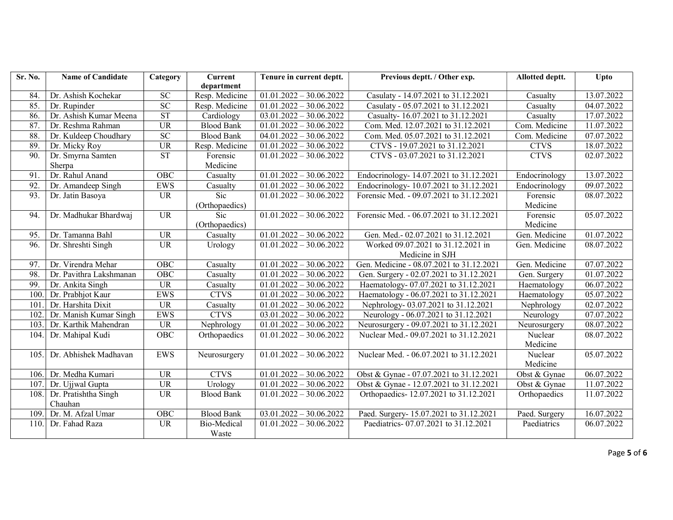| Sr. No.         | <b>Name of Candidate</b> | Category        | <b>Current</b>     | Tenure in current deptt.             | Previous deptt. / Other exp.             | Allotted deptt. | Upto                    |
|-----------------|--------------------------|-----------------|--------------------|--------------------------------------|------------------------------------------|-----------------|-------------------------|
|                 |                          |                 | department         |                                      |                                          |                 |                         |
| 84.             | Dr. Ashish Kochekar      | $\overline{SC}$ | Resp. Medicine     | $01.01.2022 - 30.06.2022$            | Casulaty - 14.07.2021 to 31.12.2021      | Casualty        | 13.07.2022              |
| 85.             | Dr. Rupinder             | SC              | Resp. Medicine     | $\overline{01.01.2022} - 30.06.2022$ | Casulaty - 05.07.2021 to 31.12.2021      | Casualty        | 04.07.2022              |
| 86.             | Dr. Ashish Kumar Meena   | <b>ST</b>       | Cardiology         | $03.01.2022 - 30.06.2022$            | Casualty-16.07.2021 to 31.12.2021        | Casualty        | 17.07.2022              |
| 87.             | Dr. Reshma Rahman        | <b>UR</b>       | <b>Blood Bank</b>  | $01.01.2022 - 30.06.2022$            | Com. Med. 12.07.2021 to 31.12.2021       | Com. Medicine   | 11.07.2022              |
| 88.             | Dr. Kuldeep Choudhary    | SC              | <b>Blood Bank</b>  | $04.01.2022 - 30.06.2022$            | Com. Med. 05.07.2021 to 31.12.2021       | Com. Medicine   | 07.07.2022              |
| 89.             | Dr. Micky Roy            | <b>UR</b>       | Resp. Medicine     | $01.01.2022 - 30.06.2022$            | CTVS - 19.07.2021 to 31.12.2021          | <b>CTVS</b>     | 18.07.2022              |
| 90.             | Dr. Smyrna Samten        | <b>ST</b>       | Forensic           | $01.01.2022 - 30.06.2022$            | CTVS - 03.07.2021 to 31.12.2021          | <b>CTVS</b>     | 02.07.2022              |
|                 | Sherpa                   |                 | Medicine           |                                      |                                          |                 |                         |
| $\overline{91}$ | Dr. Rahul Anand          | OBC             | Casualty           | $01.01.2022 - 30.06.2022$            | Endocrinology- 14.07.2021 to 31.12.2021  | Endocrinology   | 13.07.2022              |
| 92.             | Dr. Amandeep Singh       | <b>EWS</b>      | Casualty           | $01.01.2022 - 30.06.2022$            | Endocrinology- 10.07.2021 to 31.12.2021  | Endocrinology   | 09.07.2022              |
| 93.             | Dr. Jatin Basoya         | <b>UR</b>       | Sic                | $01.01.2022 - 30.06.2022$            | Forensic Med. - 09.07.2021 to 31.12.2021 | Forensic        | 08.07.2022              |
|                 |                          |                 | (Orthopaedics)     |                                      |                                          | Medicine        |                         |
| 94.             | Dr. Madhukar Bhardwaj    | $\overline{UR}$ | Sic                | $01.01.2022 - 30.06.2022$            | Forensic Med. - 06.07.2021 to 31.12.2021 | Forensic        | 05.07.2022              |
|                 |                          |                 | (Orthopaedics)     |                                      |                                          | Medicine        |                         |
| 95.             | Dr. Tamanna Bahl         | <b>UR</b>       | Casualty           | $01.01.2022 - 30.06.2022$            | Gen. Med.- 02.07.2021 to 31.12.2021      | Gen. Medicine   | 01.07.2022              |
| 96.             | Dr. Shreshti Singh       | <b>UR</b>       | Urology            | $01.01.2022 - 30.06.2022$            | Worked 09.07.2021 to 31.12.2021 in       | Gen. Medicine   | 08.07.2022              |
|                 |                          |                 |                    |                                      | Medicine in SJH                          |                 |                         |
| 97.             | Dr. Virendra Mehar       | OBC             | Casualty           | $01.01.2022 - 30.06.2022$            | Gen. Medicine - 08.07.2021 to 31.12.2021 | Gen. Medicine   | 07.07.2022              |
| 98.             | Dr. Pavithra Lakshmanan  | OBC             | Casualty           | $01.01.2022 - 30.06.2022$            | Gen. Surgery - 02.07.2021 to 31.12.2021  | Gen. Surgery    | 01.07.2022              |
| 99.             | Dr. Ankita Singh         | <b>UR</b>       | Casualty           | $01.01.2022 - 30.06.2022$            | Haematology-07.07.2021 to 31.12.2021     | Haematology     | $\overline{06.07.2022}$ |
| 100.            | Dr. Prabhjot Kaur        | <b>EWS</b>      | <b>CTVS</b>        | $01.01.2022 - 30.06.2022$            | Haematology - 06.07.2021 to 31.12.2021   | Haematology     | 05.07.2022              |
| 101.            | Dr. Harshita Dixit       | $\overline{UR}$ | Casualty           | $01.01.2022 - 30.06.2022$            | Nephrology-03.07.2021 to 31.12.2021      | Nephrology      | 02.07.2022              |
| 102.            | Dr. Manish Kumar Singh   | <b>EWS</b>      | <b>CTVS</b>        | $03.01.2022 - 30.06.2022$            | Neurology - 06.07.2021 to 31.12.2021     | Neurology       | 07.07.2022              |
| 103.            | Dr. Karthik Mahendran    | <b>UR</b>       | Nephrology         | $01.01.2022 - 30.06.2022$            | Neurosurgery - 09.07.2021 to 31.12.2021  | Neurosurgery    | 08.07.2022              |
| 104.            | Dr. Mahipal Kudi         | OBC             | Orthopaedics       | $01.01.2022 - 30.06.2022$            | Nuclear Med.- 09.07.2021 to 31.12.2021   | Nuclear         | 08.07.2022              |
|                 |                          |                 |                    |                                      |                                          | Medicine        |                         |
| 105.            | Dr. Abhishek Madhavan    | <b>EWS</b>      | Neurosurgery       | $01.01.2022 - 30.06.2022$            | Nuclear Med. - 06.07.2021 to 31.12.2021  | Nuclear         | 05.07.2022              |
|                 |                          |                 |                    |                                      |                                          | Medicine        |                         |
| 106.            | Dr. Medha Kumari         | <b>UR</b>       | <b>CTVS</b>        | $01.01.2022 - 30.06.2022$            | Obst & Gynae - 07.07.2021 to 31.12.2021  | Obst & Gynae    | 06.07.2022              |
| 107.            | Dr. Ujjwal Gupta         | <b>UR</b>       | Urology            | $01.01.2022 - 30.06.2022$            | Obst & Gynae - 12.07.2021 to 31.12.2021  | Obst & Gynae    | 11.07.2022              |
| 108.            | Dr. Pratishtha Singh     | <b>UR</b>       | <b>Blood Bank</b>  | $01.01.2022 - 30.06.2022$            | Orthopaedics-12.07.2021 to 31.12.2021    | Orthopaedics    | 11.07.2022              |
|                 | Chauhan                  |                 |                    |                                      |                                          |                 |                         |
| 109.            | Dr. M. Afzal Umar        | OBC             | <b>Blood Bank</b>  | $03.01.2022 - 30.06.2022$            | Paed. Surgery-15.07.2021 to 31.12.2021   | Paed. Surgery   | 16.07.2022              |
| 110.            | Dr. Fahad Raza           | UR              | <b>Bio-Medical</b> | $01.01.2022 - 30.06.2022$            | Paediatrics-07.07.2021 to 31.12.2021     | Paediatrics     | 06.07.2022              |
|                 |                          |                 | Waste              |                                      |                                          |                 |                         |